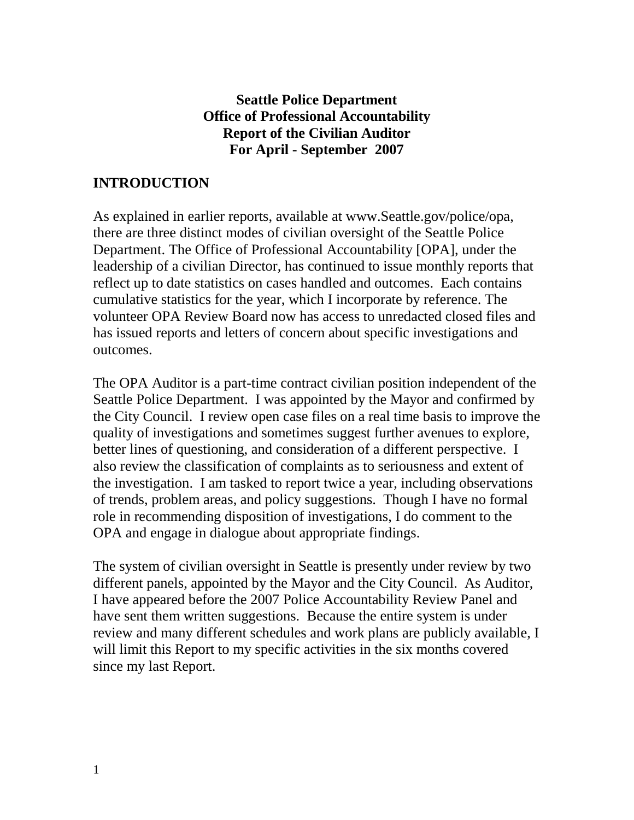## **Seattle Police Department Office of Professional Accountability Report of the Civilian Auditor For April - September 2007**

#### **INTRODUCTION**

As explained in earlier reports, available at www.Seattle.gov/police/opa, there are three distinct modes of civilian oversight of the Seattle Police Department. The Office of Professional Accountability [OPA], under the leadership of a civilian Director, has continued to issue monthly reports that reflect up to date statistics on cases handled and outcomes. Each contains cumulative statistics for the year, which I incorporate by reference. The volunteer OPA Review Board now has access to unredacted closed files and has issued reports and letters of concern about specific investigations and outcomes.

The OPA Auditor is a part-time contract civilian position independent of the Seattle Police Department. I was appointed by the Mayor and confirmed by the City Council. I review open case files on a real time basis to improve the quality of investigations and sometimes suggest further avenues to explore, better lines of questioning, and consideration of a different perspective. I also review the classification of complaints as to seriousness and extent of the investigation. I am tasked to report twice a year, including observations of trends, problem areas, and policy suggestions. Though I have no formal role in recommending disposition of investigations, I do comment to the OPA and engage in dialogue about appropriate findings.

The system of civilian oversight in Seattle is presently under review by two different panels, appointed by the Mayor and the City Council. As Auditor, I have appeared before the 2007 Police Accountability Review Panel and have sent them written suggestions. Because the entire system is under review and many different schedules and work plans are publicly available, I will limit this Report to my specific activities in the six months covered since my last Report.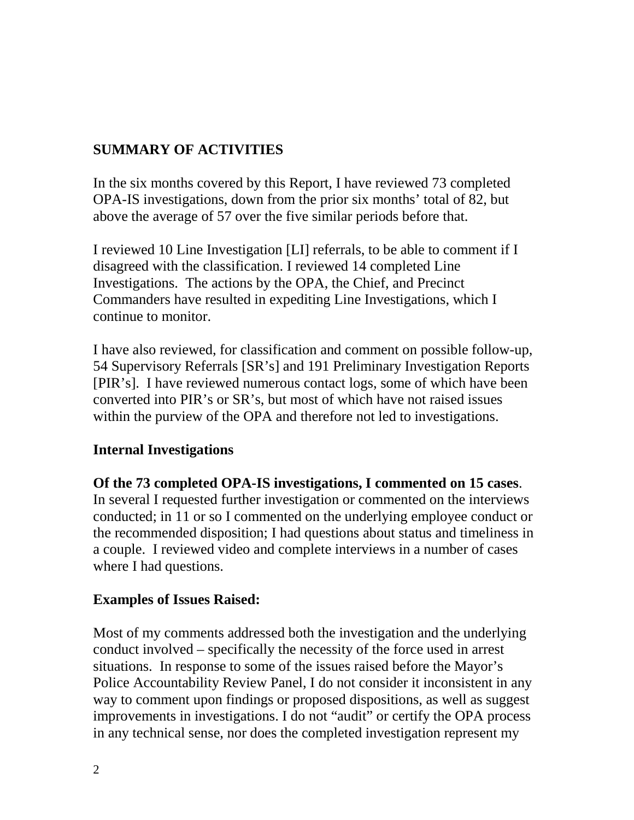# **SUMMARY OF ACTIVITIES**

In the six months covered by this Report, I have reviewed 73 completed OPA-IS investigations, down from the prior six months' total of 82, but above the average of 57 over the five similar periods before that.

I reviewed 10 Line Investigation [LI] referrals, to be able to comment if I disagreed with the classification. I reviewed 14 completed Line Investigations. The actions by the OPA, the Chief, and Precinct Commanders have resulted in expediting Line Investigations, which I continue to monitor.

I have also reviewed, for classification and comment on possible follow-up, 54 Supervisory Referrals [SR's] and 191 Preliminary Investigation Reports [PIR's]. I have reviewed numerous contact logs, some of which have been converted into PIR's or SR's, but most of which have not raised issues within the purview of the OPA and therefore not led to investigations.

## **Internal Investigations**

**Of the 73 completed OPA-IS investigations, I commented on 15 cases**. In several I requested further investigation or commented on the interviews conducted; in 11 or so I commented on the underlying employee conduct or the recommended disposition; I had questions about status and timeliness in a couple. I reviewed video and complete interviews in a number of cases where I had questions.

## **Examples of Issues Raised:**

Most of my comments addressed both the investigation and the underlying conduct involved – specifically the necessity of the force used in arrest situations. In response to some of the issues raised before the Mayor's Police Accountability Review Panel, I do not consider it inconsistent in any way to comment upon findings or proposed dispositions, as well as suggest improvements in investigations. I do not "audit" or certify the OPA process in any technical sense, nor does the completed investigation represent my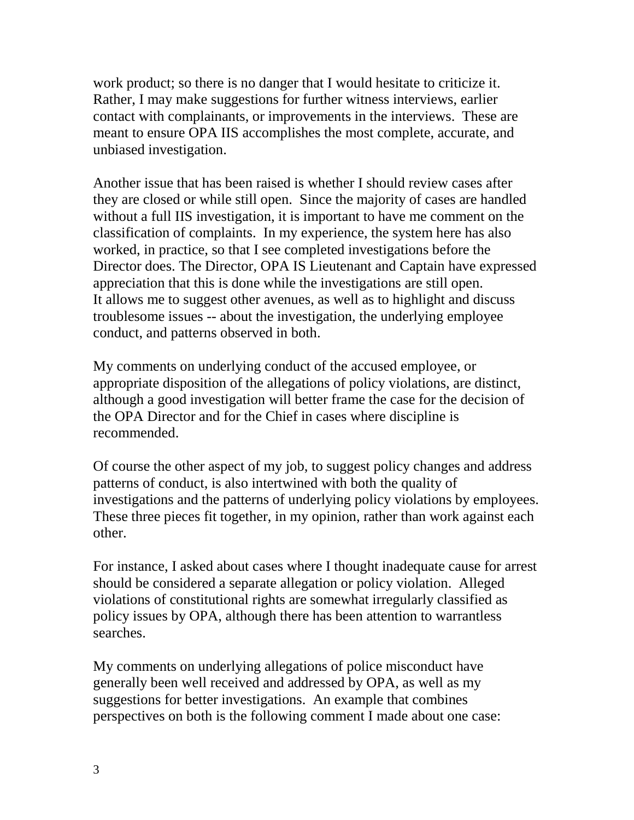work product; so there is no danger that I would hesitate to criticize it. Rather, I may make suggestions for further witness interviews, earlier contact with complainants, or improvements in the interviews. These are meant to ensure OPA IIS accomplishes the most complete, accurate, and unbiased investigation.

Another issue that has been raised is whether I should review cases after they are closed or while still open. Since the majority of cases are handled without a full IIS investigation, it is important to have me comment on the classification of complaints. In my experience, the system here has also worked, in practice, so that I see completed investigations before the Director does. The Director, OPA IS Lieutenant and Captain have expressed appreciation that this is done while the investigations are still open. It allows me to suggest other avenues, as well as to highlight and discuss troublesome issues -- about the investigation, the underlying employee conduct, and patterns observed in both.

My comments on underlying conduct of the accused employee, or appropriate disposition of the allegations of policy violations, are distinct, although a good investigation will better frame the case for the decision of the OPA Director and for the Chief in cases where discipline is recommended.

Of course the other aspect of my job, to suggest policy changes and address patterns of conduct, is also intertwined with both the quality of investigations and the patterns of underlying policy violations by employees. These three pieces fit together, in my opinion, rather than work against each other.

For instance, I asked about cases where I thought inadequate cause for arrest should be considered a separate allegation or policy violation. Alleged violations of constitutional rights are somewhat irregularly classified as policy issues by OPA, although there has been attention to warrantless searches.

My comments on underlying allegations of police misconduct have generally been well received and addressed by OPA, as well as my suggestions for better investigations. An example that combines perspectives on both is the following comment I made about one case: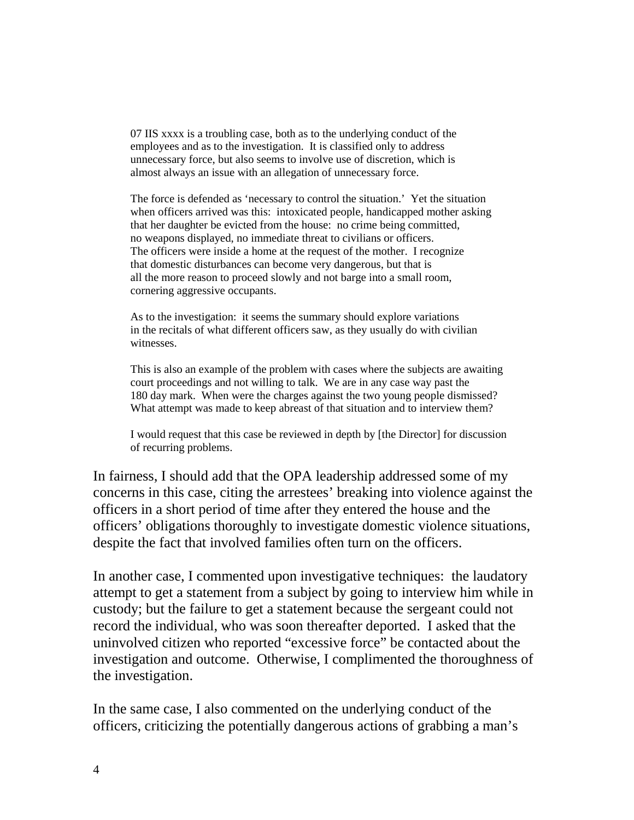07 IIS xxxx is a troubling case, both as to the underlying conduct of the employees and as to the investigation. It is classified only to address unnecessary force, but also seems to involve use of discretion, which is almost always an issue with an allegation of unnecessary force.

The force is defended as 'necessary to control the situation.' Yet the situation when officers arrived was this: intoxicated people, handicapped mother asking that her daughter be evicted from the house: no crime being committed, no weapons displayed, no immediate threat to civilians or officers. The officers were inside a home at the request of the mother. I recognize that domestic disturbances can become very dangerous, but that is all the more reason to proceed slowly and not barge into a small room, cornering aggressive occupants.

As to the investigation: it seems the summary should explore variations in the recitals of what different officers saw, as they usually do with civilian witnesses.

This is also an example of the problem with cases where the subjects are awaiting court proceedings and not willing to talk. We are in any case way past the 180 day mark. When were the charges against the two young people dismissed? What attempt was made to keep abreast of that situation and to interview them?

I would request that this case be reviewed in depth by [the Director] for discussion of recurring problems.

In fairness, I should add that the OPA leadership addressed some of my concerns in this case, citing the arrestees' breaking into violence against the officers in a short period of time after they entered the house and the officers' obligations thoroughly to investigate domestic violence situations, despite the fact that involved families often turn on the officers.

In another case, I commented upon investigative techniques: the laudatory attempt to get a statement from a subject by going to interview him while in custody; but the failure to get a statement because the sergeant could not record the individual, who was soon thereafter deported. I asked that the uninvolved citizen who reported "excessive force" be contacted about the investigation and outcome. Otherwise, I complimented the thoroughness of the investigation.

In the same case, I also commented on the underlying conduct of the officers, criticizing the potentially dangerous actions of grabbing a man's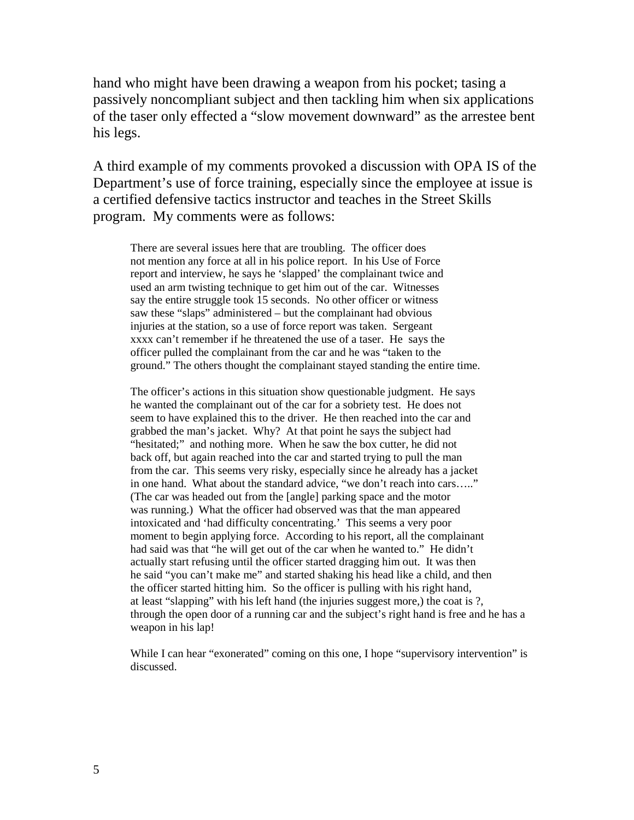hand who might have been drawing a weapon from his pocket; tasing a passively noncompliant subject and then tackling him when six applications of the taser only effected a "slow movement downward" as the arrestee bent his legs.

A third example of my comments provoked a discussion with OPA IS of the Department's use of force training, especially since the employee at issue is a certified defensive tactics instructor and teaches in the Street Skills program. My comments were as follows:

There are several issues here that are troubling. The officer does not mention any force at all in his police report. In his Use of Force report and interview, he says he 'slapped' the complainant twice and used an arm twisting technique to get him out of the car. Witnesses say the entire struggle took 15 seconds. No other officer or witness saw these "slaps" administered – but the complainant had obvious injuries at the station, so a use of force report was taken. Sergeant xxxx can't remember if he threatened the use of a taser. He says the officer pulled the complainant from the car and he was "taken to the ground." The others thought the complainant stayed standing the entire time.

The officer's actions in this situation show questionable judgment. He says he wanted the complainant out of the car for a sobriety test. He does not seem to have explained this to the driver. He then reached into the car and grabbed the man's jacket. Why? At that point he says the subject had "hesitated;" and nothing more. When he saw the box cutter, he did not back off, but again reached into the car and started trying to pull the man from the car. This seems very risky, especially since he already has a jacket in one hand. What about the standard advice, "we don't reach into cars….." (The car was headed out from the [angle] parking space and the motor was running.) What the officer had observed was that the man appeared intoxicated and 'had difficulty concentrating.' This seems a very poor moment to begin applying force. According to his report, all the complainant had said was that "he will get out of the car when he wanted to." He didn't actually start refusing until the officer started dragging him out. It was then he said "you can't make me" and started shaking his head like a child, and then the officer started hitting him. So the officer is pulling with his right hand, at least "slapping" with his left hand (the injuries suggest more,) the coat is ?, through the open door of a running car and the subject's right hand is free and he has a weapon in his lap!

While I can hear "exonerated" coming on this one, I hope "supervisory intervention" is discussed.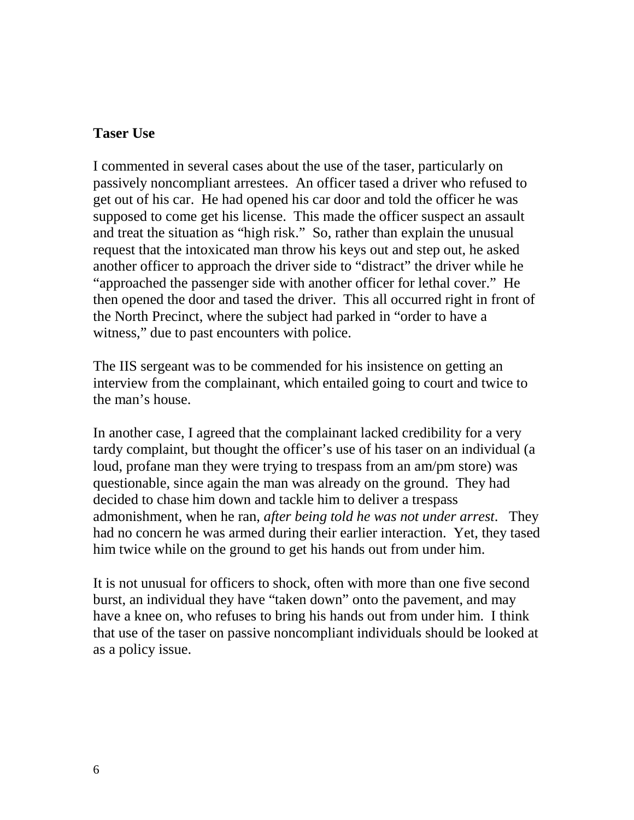#### **Taser Use**

I commented in several cases about the use of the taser, particularly on passively noncompliant arrestees. An officer tased a driver who refused to get out of his car. He had opened his car door and told the officer he was supposed to come get his license. This made the officer suspect an assault and treat the situation as "high risk." So, rather than explain the unusual request that the intoxicated man throw his keys out and step out, he asked another officer to approach the driver side to "distract" the driver while he "approached the passenger side with another officer for lethal cover." He then opened the door and tased the driver. This all occurred right in front of the North Precinct, where the subject had parked in "order to have a witness," due to past encounters with police.

The IIS sergeant was to be commended for his insistence on getting an interview from the complainant, which entailed going to court and twice to the man's house.

In another case, I agreed that the complainant lacked credibility for a very tardy complaint, but thought the officer's use of his taser on an individual (a loud, profane man they were trying to trespass from an am/pm store) was questionable, since again the man was already on the ground. They had decided to chase him down and tackle him to deliver a trespass admonishment, when he ran, *after being told he was not under arrest*. They had no concern he was armed during their earlier interaction. Yet, they tased him twice while on the ground to get his hands out from under him.

It is not unusual for officers to shock, often with more than one five second burst, an individual they have "taken down" onto the pavement, and may have a knee on, who refuses to bring his hands out from under him. I think that use of the taser on passive noncompliant individuals should be looked at as a policy issue.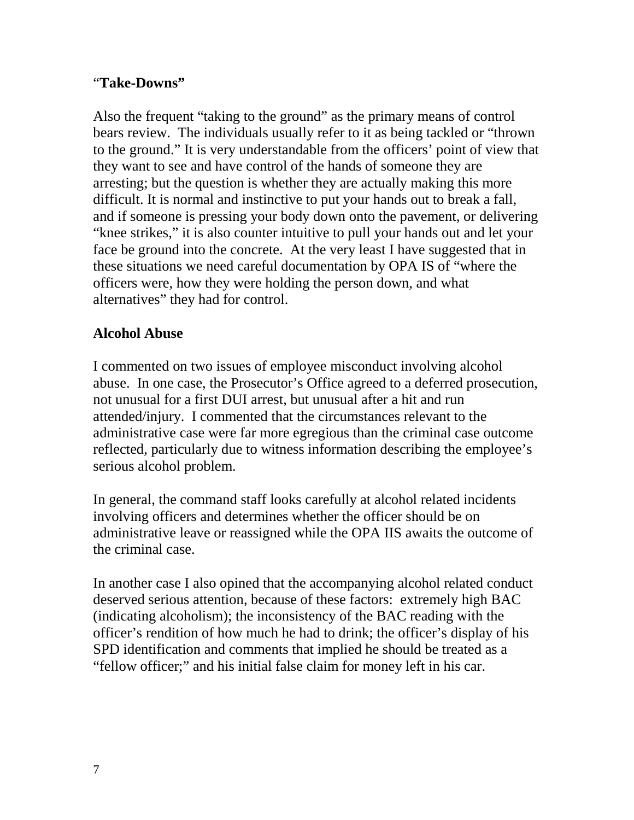#### "**Take-Downs"**

Also the frequent "taking to the ground" as the primary means of control bears review. The individuals usually refer to it as being tackled or "thrown to the ground." It is very understandable from the officers' point of view that they want to see and have control of the hands of someone they are arresting; but the question is whether they are actually making this more difficult. It is normal and instinctive to put your hands out to break a fall, and if someone is pressing your body down onto the pavement, or delivering "knee strikes," it is also counter intuitive to pull your hands out and let your face be ground into the concrete. At the very least I have suggested that in these situations we need careful documentation by OPA IS of "where the officers were, how they were holding the person down, and what alternatives" they had for control.

## **Alcohol Abuse**

I commented on two issues of employee misconduct involving alcohol abuse. In one case, the Prosecutor's Office agreed to a deferred prosecution, not unusual for a first DUI arrest, but unusual after a hit and run attended/injury. I commented that the circumstances relevant to the administrative case were far more egregious than the criminal case outcome reflected, particularly due to witness information describing the employee's serious alcohol problem.

In general, the command staff looks carefully at alcohol related incidents involving officers and determines whether the officer should be on administrative leave or reassigned while the OPA IIS awaits the outcome of the criminal case.

In another case I also opined that the accompanying alcohol related conduct deserved serious attention, because of these factors: extremely high BAC (indicating alcoholism); the inconsistency of the BAC reading with the officer's rendition of how much he had to drink; the officer's display of his SPD identification and comments that implied he should be treated as a "fellow officer;" and his initial false claim for money left in his car.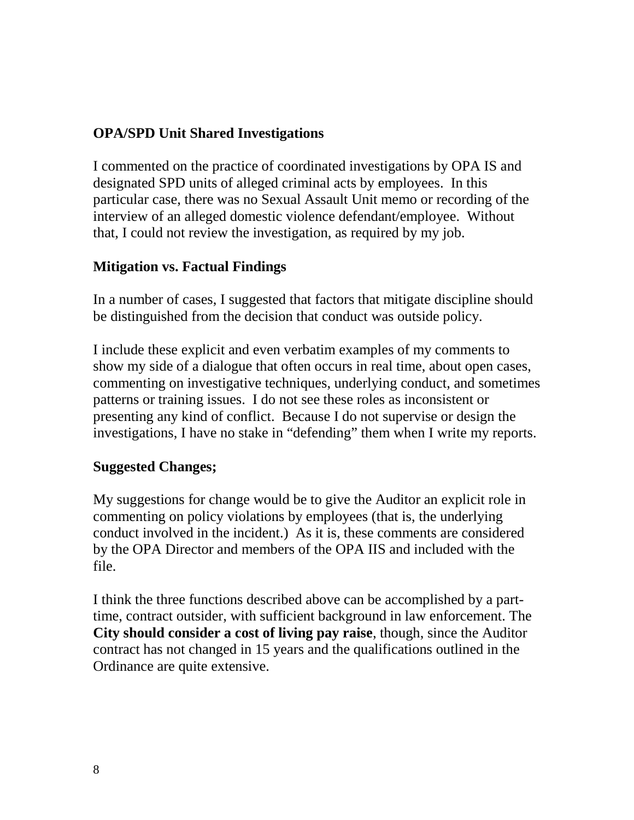## **OPA/SPD Unit Shared Investigations**

I commented on the practice of coordinated investigations by OPA IS and designated SPD units of alleged criminal acts by employees. In this particular case, there was no Sexual Assault Unit memo or recording of the interview of an alleged domestic violence defendant/employee. Without that, I could not review the investigation, as required by my job.

#### **Mitigation vs. Factual Findings**

In a number of cases, I suggested that factors that mitigate discipline should be distinguished from the decision that conduct was outside policy.

I include these explicit and even verbatim examples of my comments to show my side of a dialogue that often occurs in real time, about open cases, commenting on investigative techniques, underlying conduct, and sometimes patterns or training issues. I do not see these roles as inconsistent or presenting any kind of conflict. Because I do not supervise or design the investigations, I have no stake in "defending" them when I write my reports.

#### **Suggested Changes;**

My suggestions for change would be to give the Auditor an explicit role in commenting on policy violations by employees (that is, the underlying conduct involved in the incident.) As it is, these comments are considered by the OPA Director and members of the OPA IIS and included with the file.

I think the three functions described above can be accomplished by a parttime, contract outsider, with sufficient background in law enforcement. The **City should consider a cost of living pay raise**, though, since the Auditor contract has not changed in 15 years and the qualifications outlined in the Ordinance are quite extensive.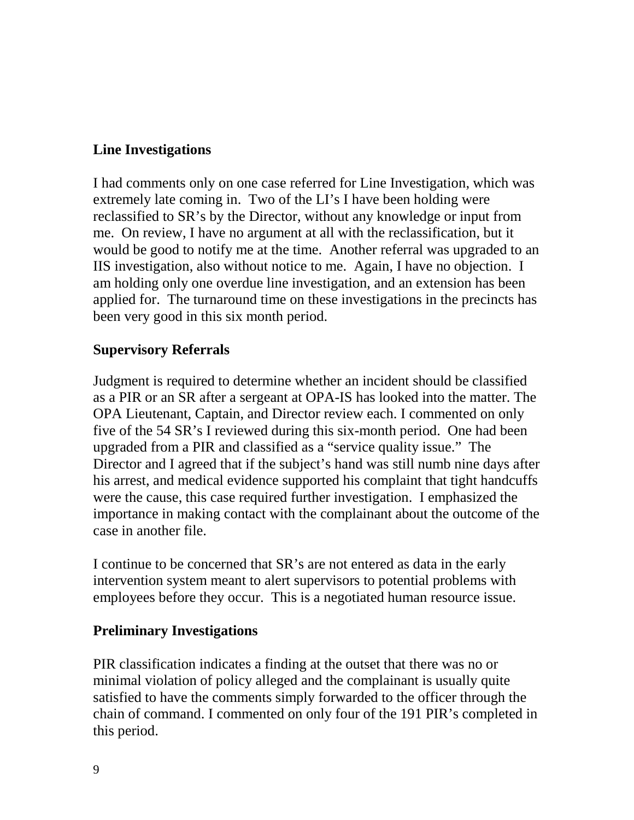## **Line Investigations**

I had comments only on one case referred for Line Investigation, which was extremely late coming in. Two of the LI's I have been holding were reclassified to SR's by the Director, without any knowledge or input from me. On review, I have no argument at all with the reclassification, but it would be good to notify me at the time. Another referral was upgraded to an IIS investigation, also without notice to me. Again, I have no objection. I am holding only one overdue line investigation, and an extension has been applied for. The turnaround time on these investigations in the precincts has been very good in this six month period.

#### **Supervisory Referrals**

Judgment is required to determine whether an incident should be classified as a PIR or an SR after a sergeant at OPA-IS has looked into the matter. The OPA Lieutenant, Captain, and Director review each. I commented on only five of the 54 SR's I reviewed during this six-month period. One had been upgraded from a PIR and classified as a "service quality issue." The Director and I agreed that if the subject's hand was still numb nine days after his arrest, and medical evidence supported his complaint that tight handcuffs were the cause, this case required further investigation. I emphasized the importance in making contact with the complainant about the outcome of the case in another file.

I continue to be concerned that SR's are not entered as data in the early intervention system meant to alert supervisors to potential problems with employees before they occur. This is a negotiated human resource issue.

## **Preliminary Investigations**

PIR classification indicates a finding at the outset that there was no or minimal violation of policy alleged and the complainant is usually quite satisfied to have the comments simply forwarded to the officer through the chain of command. I commented on only four of the 191 PIR's completed in this period.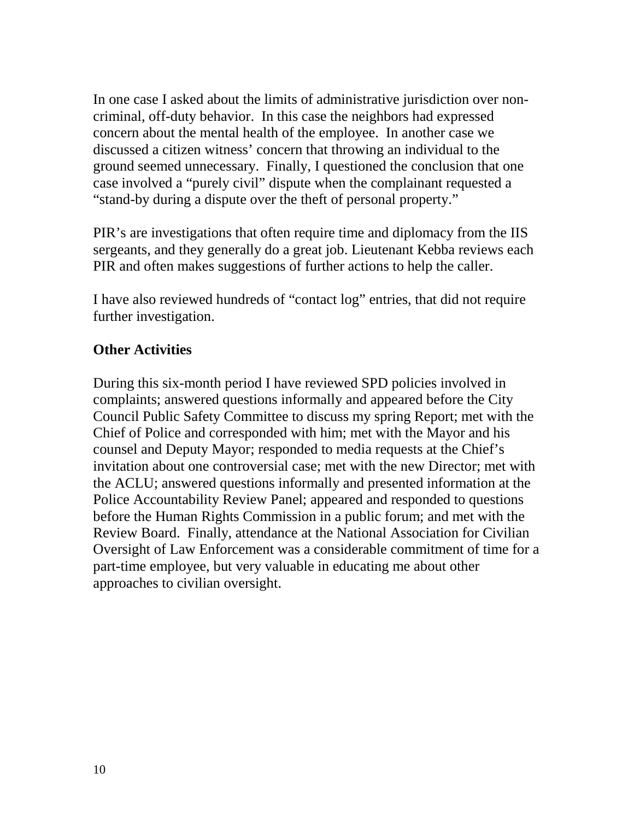In one case I asked about the limits of administrative jurisdiction over noncriminal, off-duty behavior. In this case the neighbors had expressed concern about the mental health of the employee. In another case we discussed a citizen witness' concern that throwing an individual to the ground seemed unnecessary. Finally, I questioned the conclusion that one case involved a "purely civil" dispute when the complainant requested a "stand-by during a dispute over the theft of personal property."

PIR's are investigations that often require time and diplomacy from the IIS sergeants, and they generally do a great job. Lieutenant Kebba reviews each PIR and often makes suggestions of further actions to help the caller.

I have also reviewed hundreds of "contact log" entries, that did not require further investigation.

## **Other Activities**

During this six-month period I have reviewed SPD policies involved in complaints; answered questions informally and appeared before the City Council Public Safety Committee to discuss my spring Report; met with the Chief of Police and corresponded with him; met with the Mayor and his counsel and Deputy Mayor; responded to media requests at the Chief's invitation about one controversial case; met with the new Director; met with the ACLU; answered questions informally and presented information at the Police Accountability Review Panel; appeared and responded to questions before the Human Rights Commission in a public forum; and met with the Review Board. Finally, attendance at the National Association for Civilian Oversight of Law Enforcement was a considerable commitment of time for a part-time employee, but very valuable in educating me about other approaches to civilian oversight.